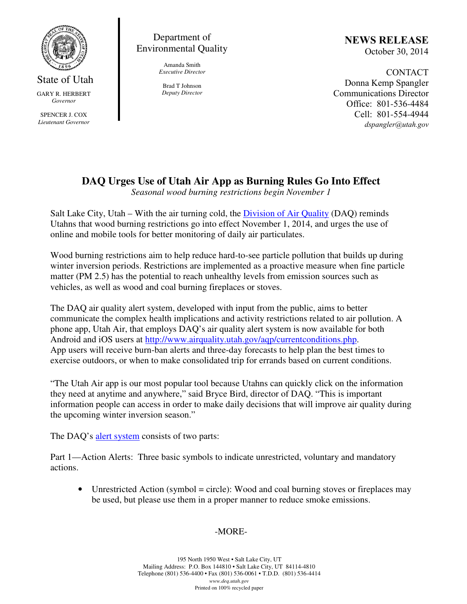

State of Utah GARY R. HERBERT *Governor*  SPENCER J. COX *Lieutenant Governor* 

## Department of Environmental Quality

Amanda Smith *Executive Director* 

Brad T Johnson *Deputy Director*  NEWS RELEASE October 30, 2014

CONTACT Donna Kemp Spangler Communications Director Office: 801-536-4484 Cell: 801-554-4944 dspangler@utah.gov

## **DAQ Urges Use of Utah Air App as Burning Rules Go Into Effect**

*Seasonal wood burning restrictions begin November 1*

Salt Lake City, Utah – With the air turning cold, the Division of Air Quality (DAQ) reminds Utahns that wood burning restrictions go into effect November 1, 2014, and urges the use of online and mobile tools for better monitoring of daily air particulates.

Wood burning restrictions aim to help reduce hard-to-see particle pollution that builds up during winter inversion periods. Restrictions are implemented as a proactive measure when fine particle matter (PM 2.5) has the potential to reach unhealthy levels from emission sources such as vehicles, as well as wood and coal burning fireplaces or stoves.

The DAQ air quality alert system, developed with input from the public, aims to better communicate the complex health implications and activity restrictions related to air pollution. A phone app, Utah Air, that employs DAQ's air quality alert system is now available for both Android and iOS users at http://www.airquality.utah.gov/aqp/currentconditions.php. App users will receive burn-ban alerts and three-day forecasts to help plan the best times to exercise outdoors, or when to make consolidated trip for errands based on current conditions.

"The Utah Air app is our most popular tool because Utahns can quickly click on the information they need at anytime and anywhere," said Bryce Bird, director of DAQ. "This is important information people can access in order to make daily decisions that will improve air quality during the upcoming winter inversion season."

The DAQ's alert system consists of two parts:

Part 1—Action Alerts: Three basic symbols to indicate unrestricted, voluntary and mandatory actions.

• Unrestricted Action (symbol = circle): Wood and coal burning stoves or fireplaces may be used, but please use them in a proper manner to reduce smoke emissions.

## -MORE-